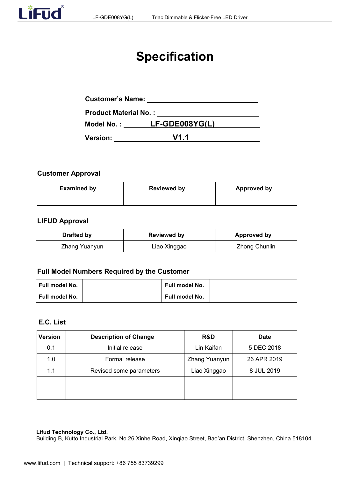# **Specification**

| <b>Customer's Name:</b>      |                |  |
|------------------------------|----------------|--|
| <b>Product Material No.:</b> |                |  |
| Model No. :                  | LF-GDE008YG(L) |  |
| <b>Version:</b>              | V1.1           |  |

# **Customer Approval**

| <b>Examined by</b> | <b>Reviewed by</b> | <b>Approved by</b> |
|--------------------|--------------------|--------------------|
|                    |                    |                    |

#### **LIFUD Approval**

| Drafted by    | <b>Reviewed by</b> | Approved by   |
|---------------|--------------------|---------------|
| Zhang Yuanyun | ∟iao Xinggao       | Zhong Chunlin |

# **Full Model Numbers Required by the Customer**

| ∣ Full model No. | <b>Full model No.</b> |  |
|------------------|-----------------------|--|
| ∣ Full model No. | Full model No.        |  |

# **E.C. List**

| <b>Version</b> | <b>Description of Change</b> | R&D           | <b>Date</b> |
|----------------|------------------------------|---------------|-------------|
| 0.1            | Initial release              | Lin Kaifan    | 5 DEC 2018  |
| 1.0            | Formal release               | Zhang Yuanyun | 26 APR 2019 |
| 1.1            | Revised some parameters      | Liao Xinggao  | 8 JUL 2019  |
|                |                              |               |             |
|                |                              |               |             |

#### **Lifud Technology Co., Ltd.**

Building B, Kutto Industrial Park, No.26 Xinhe Road, Xinqiao Street, Bao'an District, Shenzhen, China 518104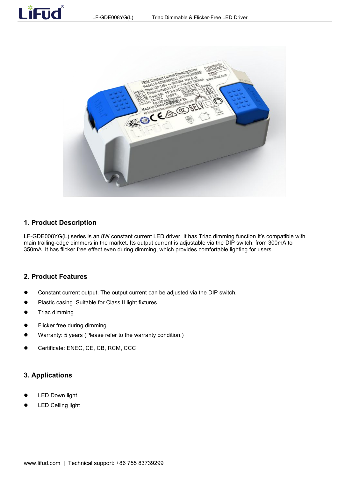



#### **1. Product Description**

Lifud

LF-GDE008YG(L) series is an 8W constant current LED driver. It has Triac dimming function It's compatible with main trailing-edge dimmers in the market. Its output current is adjustable via the DIP switch, from 300mA to 350mA. It has flicker free effect even during dimming, which provides comfortable lighting for users.

#### **2. Product Features**

- Constant current output. The output current can be adjusted via the DIP switch.
- Plastic casing. Suitable for Class II light fixtures
- Triac dimming
- Flicker free during dimming
- Warranty: 5 years (Please refer to the warranty condition.)
- Certificate: ENEC, CE, CB, RCM, CCC

#### **3. Applications**

- LED Down light
- LED Ceiling light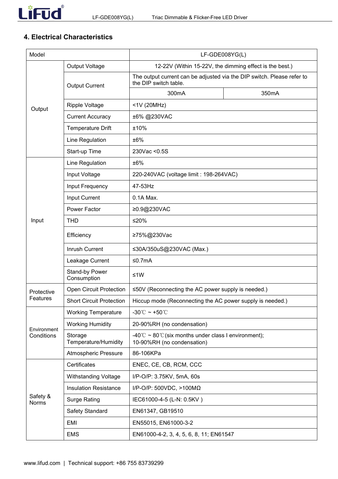# **4. Electrical Characteristics**

| Model                    |                                        | LF-GDE008YG(L)                                                                                  |       |  |
|--------------------------|----------------------------------------|-------------------------------------------------------------------------------------------------|-------|--|
|                          | Output Voltage                         | 12-22V (Within 15-22V, the dimming effect is the best.)                                         |       |  |
|                          | <b>Output Current</b>                  | The output current can be adjusted via the DIP switch. Please refer to<br>the DIP switch table. |       |  |
|                          |                                        | 300mA                                                                                           | 350mA |  |
| Output                   | <b>Ripple Voltage</b>                  | <1V (20MHz)                                                                                     |       |  |
|                          | <b>Current Accuracy</b>                | ±6% @230VAC                                                                                     |       |  |
|                          | <b>Temperature Drift</b>               | ±10%                                                                                            |       |  |
|                          | Line Regulation                        | ±6%                                                                                             |       |  |
|                          | Start-up Time                          | 230Vac < 0.5S                                                                                   |       |  |
|                          | Line Regulation                        | ±6%                                                                                             |       |  |
|                          | Input Voltage                          | 220-240VAC (voltage limit : 198-264VAC)                                                         |       |  |
|                          | Input Frequency                        | 47-53Hz                                                                                         |       |  |
|                          | Input Current                          | 0.1A Max.                                                                                       |       |  |
|                          | Power Factor                           | ≥0.9@230VAC                                                                                     |       |  |
| Input                    | <b>THD</b>                             | $≤20%$                                                                                          |       |  |
|                          | Efficiency                             | ≥75%@230Vac                                                                                     |       |  |
|                          | Inrush Current                         | ≤30A/350uS@230VAC (Max.)                                                                        |       |  |
|                          | Leakage Current                        | ≤0.7 $mA$                                                                                       |       |  |
|                          | Stand-by Power<br>$≤1W$<br>Consumption |                                                                                                 |       |  |
| Protective               | <b>Open Circuit Protection</b>         | ≤50V (Reconnecting the AC power supply is needed.)                                              |       |  |
| Features                 | <b>Short Circuit Protection</b>        | Hiccup mode (Reconnecting the AC power supply is needed.)                                       |       |  |
|                          | <b>Working Temperature</b>             | -30°C ~ +50°C                                                                                   |       |  |
| Environment              | <b>Working Humidity</b>                | 20-90%RH (no condensation)                                                                      |       |  |
| Conditions               | Storage<br>Temperature/Humidity        | -40°C ~ 80°C (six months under class I environment);<br>10-90%RH (no condensation)              |       |  |
|                          | <b>Atmospheric Pressure</b>            | 86-106KPa                                                                                       |       |  |
|                          | Certificates                           | ENEC, CE, CB, RCM, CCC                                                                          |       |  |
|                          | Withstanding Voltage                   | I/P-O/P: 3.75KV, 5mA, 60s                                                                       |       |  |
|                          | <b>Insulation Resistance</b>           | I/P-O/P: 500VDC, >100M $\Omega$                                                                 |       |  |
| Safety &<br><b>Norms</b> | <b>Surge Rating</b>                    | IEC61000-4-5 (L-N: 0.5KV)                                                                       |       |  |
|                          | Safety Standard                        | EN61347, GB19510                                                                                |       |  |
|                          | <b>EMI</b>                             | EN55015, EN61000-3-2                                                                            |       |  |
|                          | <b>EMS</b>                             | EN61000-4-2, 3, 4, 5, 6, 8, 11; EN61547                                                         |       |  |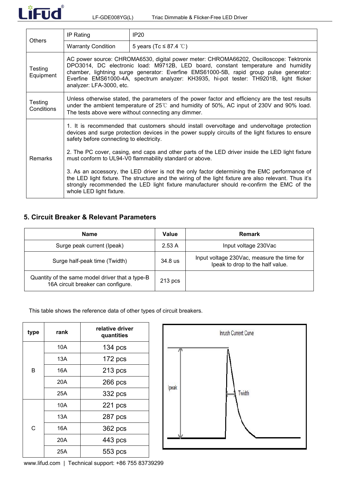

| <b>Others</b>         | IP Rating                                                                                                                                                                                                                                                                                                                                                                                   | <b>IP20</b>                 |  |  |  |
|-----------------------|---------------------------------------------------------------------------------------------------------------------------------------------------------------------------------------------------------------------------------------------------------------------------------------------------------------------------------------------------------------------------------------------|-----------------------------|--|--|--|
|                       | <b>Warranty Condition</b>                                                                                                                                                                                                                                                                                                                                                                   | 5 years (Tc $\leq$ 87.4 °C) |  |  |  |
| Testing<br>Equipment  | AC power source: CHROMA6530, digital power meter: CHROMA66202, Oscilloscope: Tektronix<br>DPO3014, DC electronic load: M9712B, LED board, constant temperature and humidity<br>chamber, lightning surge generator: Everfine EMS61000-5B, rapid group pulse generator:<br>Everfine EMS61000-4A, spectrum analyzer: KH3935, hi-pot tester: TH9201B, light flicker<br>analyzer: LFA-3000, etc. |                             |  |  |  |
| Testing<br>Conditions | Unless otherwise stated, the parameters of the power factor and efficiency are the test results<br>under the ambient temperature of $25^{\circ}$ and humidity of 50%, AC input of 230V and 90% load.<br>The tests above were without connecting any dimmer.                                                                                                                                 |                             |  |  |  |
|                       | 1. It is recommended that customers should install overvoltage and undervoltage protection<br>devices and surge protection devices in the power supply circuits of the light fixtures to ensure<br>safety before connecting to electricity.                                                                                                                                                 |                             |  |  |  |
| <b>Remarks</b>        | 2. The PC cover, casing, end caps and other parts of the LED driver inside the LED light fixture<br>must conform to UL94-V0 flammability standard or above.                                                                                                                                                                                                                                 |                             |  |  |  |
|                       | 3. As an accessory, the LED driver is not the only factor determining the EMC performance of<br>the LED light fixture. The structure and the wiring of the light fixture are also relevant. Thus it's<br>strongly recommended the LED light fixture manufacturer should re-confirm the EMC of the<br>whole LED light fixture.                                                               |                             |  |  |  |

# **5. Circuit Breaker & Relevant Parameters**

| Name                                                                                  | Value     | <b>Remark</b>                                                                  |
|---------------------------------------------------------------------------------------|-----------|--------------------------------------------------------------------------------|
| Surge peak current (Ipeak)                                                            | 2.53A     | Input voltage 230Vac                                                           |
| Surge half-peak time (Twidth)                                                         | $34.8$ us | Input voltage 230Vac, measure the time for<br>lpeak to drop to the half value. |
| Quantity of the same model driver that a type-B<br>16A circuit breaker can configure. | $213$ pcs |                                                                                |

This table shows the reference data of other types of circuit breakers.

| type           | rank | relative driver<br>quantities |       |
|----------------|------|-------------------------------|-------|
|                | 10A  | $134$ pcs                     |       |
|                | 13A  | $172$ pcs                     |       |
| B              | 16A  | $213$ pcs                     |       |
|                | 20A  | $266$ pcs                     |       |
|                | 25A  | 332 pcs                       | lpeak |
|                | 10A  | $221$ pcs                     |       |
|                | 13A  | 287 pcs                       |       |
| $\overline{C}$ | 16A  | 362 pcs                       |       |
|                | 20A  | 443 pcs                       |       |
|                | 25A  | 553 pcs                       |       |



[www.lifud.com](http://www.lifud.com) | Technical support: +86 755 83739299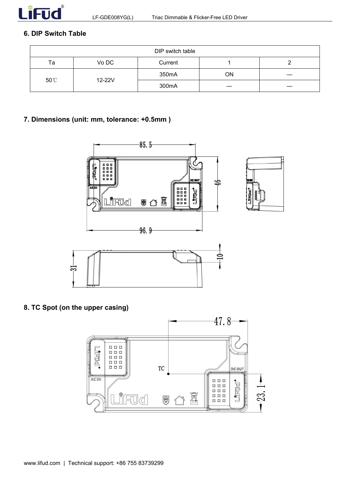

# **6. DIP Switch Table**

| DIP switch table |        |         |  |  |
|------------------|--------|---------|--|--|
| Ta               | Vo DC  | Current |  |  |
|                  | 350mA  | ON      |  |  |
| 50°C             | 12-22V | 300mA   |  |  |

# **7. Dimensions (unit: mm, tolerance: +0.5mm )**



**8. TC Spot (on the upper casing)**

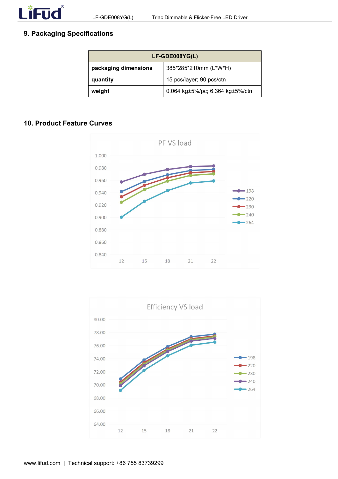# **9. Packaging Specifications**

| LF-GDE008YG(L)       |                                             |  |
|----------------------|---------------------------------------------|--|
| packaging dimensions | 385*285*210mm (L*W*H)                       |  |
| quantity             | 15 pcs/layer; 90 pcs/ctn                    |  |
| weight               | 0.064 kg $\pm$ 5%/pc; 6.364 kg $\pm$ 5%/ctn |  |

## **10. Product Feature Curves**



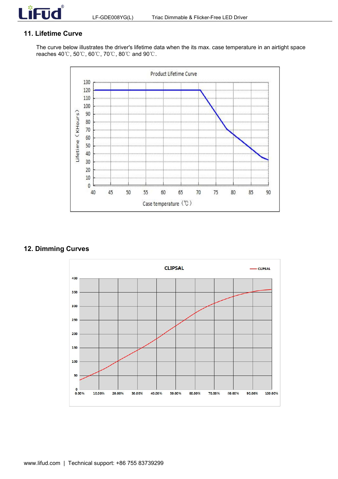

## **11. Lifetime Curve**

The curve below illustrates the driver's lifetime data when the its max. case temperature in an airtight space reaches 40℃, 50℃, 60℃, 70℃, 80℃ and 90℃.



# **12. Dimming Curves**

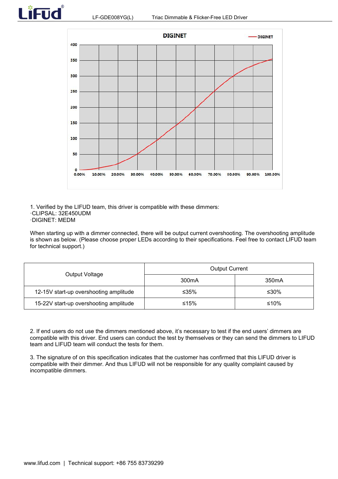



1. Verified by the LIFUD team, this driver is compatible with these dimmers: ·CLIPSAL: 32E450UDM

·DIGINET: MEDM

When starting up with a dimmer connected, there will be output current overshooting. The overshooting amplitude is shown as below. (Please choose proper LEDs according to their specifications. Feel free to contact LIFUD team for technical support.)

|                                        | <b>Output Current</b> |                    |  |
|----------------------------------------|-----------------------|--------------------|--|
| Output Voltage                         | 300 <sub>m</sub> A    | 350 <sub>m</sub> A |  |
| 12-15V start-up overshooting amplitude | ≤35%                  | ≤30%               |  |
| 15-22V start-up overshooting amplitude | ≤15%                  | ≤10%               |  |

2. If end users do not use the dimmers mentioned above, it's necessary to test if the end users' dimmers are compatible with this driver. End users can conduct the test by themselves or they can send the dimmers to LIFUD<br>team and LIFUD team will conduct the tests for them.

3. The signature of on this specification indicates that the customer has confirmed that this LIFUD driver is compatible with their dimmer. And thus LIFUD will not be responsible for any quality complaint caused by incompatible dimmers.